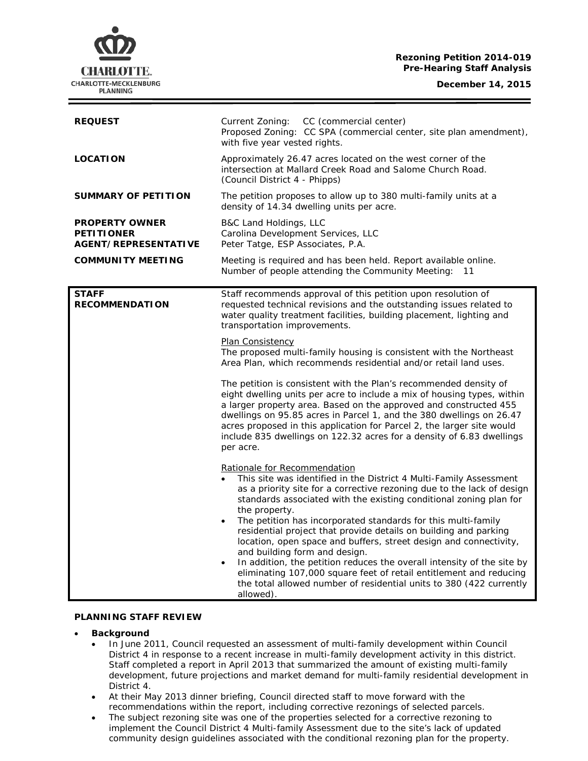### **Rezoning Petition 2014-019 Pre-Hearing Staff Analysis**

**December 14, 2015**



| <b>REQUEST</b>                                                     | Current Zoning: CC (commercial center)<br>Proposed Zoning: CC SPA (commercial center, site plan amendment),<br>with five year vested rights.                                                                                                                                                                                                                                                                                                                                                                                                                                                                                                                                                                                                                                 |
|--------------------------------------------------------------------|------------------------------------------------------------------------------------------------------------------------------------------------------------------------------------------------------------------------------------------------------------------------------------------------------------------------------------------------------------------------------------------------------------------------------------------------------------------------------------------------------------------------------------------------------------------------------------------------------------------------------------------------------------------------------------------------------------------------------------------------------------------------------|
| <b>LOCATION</b>                                                    | Approximately 26.47 acres located on the west corner of the<br>intersection at Mallard Creek Road and Salome Church Road.<br>(Council District 4 - Phipps)                                                                                                                                                                                                                                                                                                                                                                                                                                                                                                                                                                                                                   |
| <b>SUMMARY OF PETITION</b>                                         | The petition proposes to allow up to 380 multi-family units at a<br>density of 14.34 dwelling units per acre.                                                                                                                                                                                                                                                                                                                                                                                                                                                                                                                                                                                                                                                                |
| <b>PROPERTY OWNER</b><br><b>PETITIONER</b><br>AGENT/REPRESENTATIVE | B&C Land Holdings, LLC<br>Carolina Development Services, LLC<br>Peter Tatge, ESP Associates, P.A.                                                                                                                                                                                                                                                                                                                                                                                                                                                                                                                                                                                                                                                                            |
| <b>COMMUNITY MEETING</b>                                           | Meeting is required and has been held. Report available online.<br>Number of people attending the Community Meeting:<br>- 11                                                                                                                                                                                                                                                                                                                                                                                                                                                                                                                                                                                                                                                 |
| <b>STAFF</b><br><b>RECOMMENDATION</b>                              | Staff recommends approval of this petition upon resolution of<br>requested technical revisions and the outstanding issues related to<br>water quality treatment facilities, building placement, lighting and<br>transportation improvements.                                                                                                                                                                                                                                                                                                                                                                                                                                                                                                                                 |
|                                                                    | Plan Consistency<br>The proposed multi-family housing is consistent with the Northeast<br>Area Plan, which recommends residential and/or retail land uses.                                                                                                                                                                                                                                                                                                                                                                                                                                                                                                                                                                                                                   |
|                                                                    | The petition is consistent with the Plan's recommended density of<br>eight dwelling units per acre to include a mix of housing types, within<br>a larger property area. Based on the approved and constructed 455<br>dwellings on 95.85 acres in Parcel 1, and the 380 dwellings on 26.47<br>acres proposed in this application for Parcel 2, the larger site would<br>include 835 dwellings on 122.32 acres for a density of 6.83 dwellings<br>per acre.                                                                                                                                                                                                                                                                                                                    |
|                                                                    | Rationale for Recommendation<br>This site was identified in the District 4 Multi-Family Assessment<br>as a priority site for a corrective rezoning due to the lack of design<br>standards associated with the existing conditional zoning plan for<br>the property.<br>The petition has incorporated standards for this multi-family<br>$\bullet$<br>residential project that provide details on building and parking<br>location, open space and buffers, street design and connectivity,<br>and building form and design.<br>In addition, the petition reduces the overall intensity of the site by<br>$\bullet$<br>eliminating 107,000 square feet of retail entitlement and reducing<br>the total allowed number of residential units to 380 (422 currently<br>allowed). |

# **PLANNING STAFF REVIEW**

- **Background** 
	- In June 2011, Council requested an assessment of multi-family development within Council District 4 in response to a recent increase in multi-family development activity in this district. Staff completed a report in April 2013 that summarized the amount of existing multi-family development, future projections and market demand for multi-family residential development in District 4.
	- At their May 2013 dinner briefing, Council directed staff to move forward with the recommendations within the report, including corrective rezonings of selected parcels.
	- The subject rezoning site was one of the properties selected for a corrective rezoning to implement the Council District 4 Multi-family Assessment due to the site's lack of updated community design guidelines associated with the conditional rezoning plan for the property.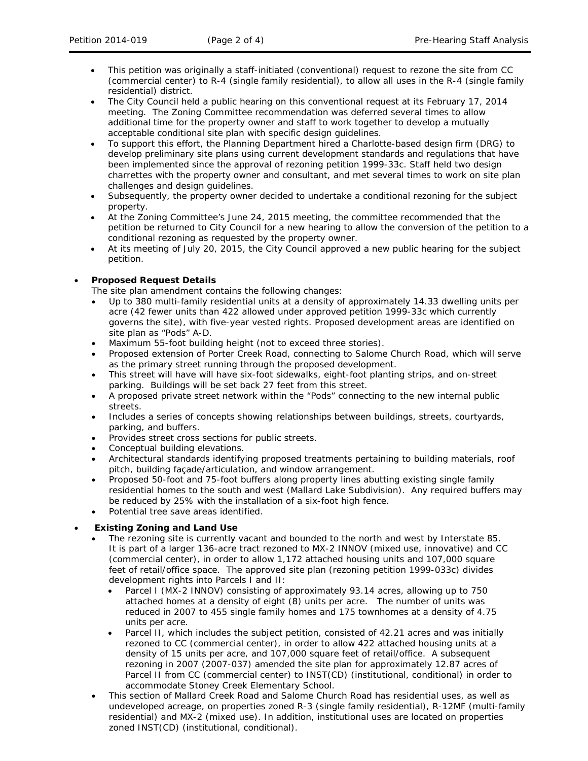- This petition was originally a staff-initiated (conventional) request to rezone the site from CC (commercial center) to R-4 (single family residential), to allow all uses in the R-4 (single family residential) district.
- The City Council held a public hearing on this conventional request at its February 17, 2014 meeting. The Zoning Committee recommendation was deferred several times to allow additional time for the property owner and staff to work together to develop a mutually acceptable conditional site plan with specific design guidelines.
- To support this effort, the Planning Department hired a Charlotte-based design firm (DRG) to develop preliminary site plans using current development standards and regulations that have been implemented since the approval of rezoning petition 1999-33c. Staff held two design charrettes with the property owner and consultant, and met several times to work on site plan challenges and design guidelines.
- Subsequently, the property owner decided to undertake a conditional rezoning for the subject property.
- At the Zoning Committee's June 24, 2015 meeting, the committee recommended that the petition be returned to City Council for a new hearing to allow the conversion of the petition to a conditional rezoning as requested by the property owner.
- At its meeting of July 20, 2015, the City Council approved a new public hearing for the subject petition.

# • **Proposed Request Details**

The site plan amendment contains the following changes:

- Up to 380 multi-family residential units at a density of approximately 14.33 dwelling units per acre (42 fewer units than 422 allowed under approved petition 1999-33c which currently governs the site), with five-year vested rights. Proposed development areas are identified on site plan as "Pods" A-D.
- Maximum 55-foot building height (not to exceed three stories).
- Proposed extension of Porter Creek Road, connecting to Salome Church Road, which will serve as the primary street running through the proposed development.
- This street will have will have six-foot sidewalks, eight-foot planting strips, and on-street parking. Buildings will be set back 27 feet from this street.
- A proposed private street network within the "Pods" connecting to the new internal public streets.
- Includes a series of concepts showing relationships between buildings, streets, courtyards, parking, and buffers.
- Provides street cross sections for public streets.
- Conceptual building elevations.
- Architectural standards identifying proposed treatments pertaining to building materials, roof pitch, building façade/articulation, and window arrangement.
- Proposed 50-foot and 75-foot buffers along property lines abutting existing single family residential homes to the south and west (Mallard Lake Subdivision). Any required buffers may be reduced by 25% with the installation of a six-foot high fence.
- Potential tree save areas identified.

# • **Existing Zoning and Land Use**

- The rezoning site is currently vacant and bounded to the north and west by Interstate 85. It is part of a larger 136-acre tract rezoned to MX-2 INNOV (mixed use, innovative) and CC (commercial center), in order to allow 1,172 attached housing units and 107,000 square feet of retail/office space. The approved site plan (rezoning petition 1999-033c) divides development rights into Parcels I and II:
	- Parcel I (MX-2 INNOV) consisting of approximately 93.14 acres, allowing up to 750 attached homes at a density of eight (8) units per acre. The number of units was reduced in 2007 to 455 single family homes and 175 townhomes at a density of 4.75 units per acre.
	- Parcel II, which includes the subject petition, consisted of 42.21 acres and was initially rezoned to CC (commercial center), in order to allow 422 attached housing units at a density of 15 units per acre, and 107,000 square feet of retail/office. A subsequent rezoning in 2007 (2007-037) amended the site plan for approximately 12.87 acres of Parcel II from CC (commercial center) to INST(CD) (institutional, conditional) in order to accommodate Stoney Creek Elementary School.
- This section of Mallard Creek Road and Salome Church Road has residential uses, as well as undeveloped acreage, on properties zoned R-3 (single family residential), R-12MF (multi-family residential) and MX-2 (mixed use). In addition, institutional uses are located on properties zoned INST(CD) (institutional, conditional).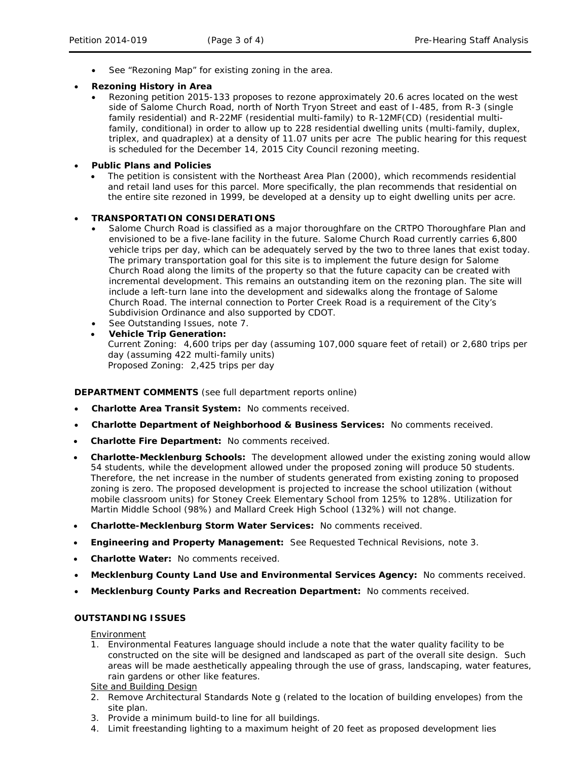See "Rezoning Map" for existing zoning in the area.

### • **Rezoning History in Area**

• Rezoning petition 2015-133 proposes to rezone approximately 20.6 acres located on the west side of Salome Church Road, north of North Tryon Street and east of I-485, from R-3 (single family residential) and R-22MF (residential multi-family) to R-12MF(CD) (residential multifamily, conditional) in order to allow up to 228 residential dwelling units (multi-family, duplex, triplex, and quadraplex) at a density of 11.07 units per acre The public hearing for this request is scheduled for the December 14, 2015 City Council rezoning meeting.

## • **Public Plans and Policies**

• The petition is consistent with the *Northeast Area Plan* (2000), which recommends residential and retail land uses for this parcel. More specifically, the plan recommends that residential on the entire site rezoned in 1999, be developed at a density up to eight dwelling units per acre.

#### • **TRANSPORTATION CONSIDERATIONS**

- Salome Church Road is classified as a major thoroughfare on the CRTPO Thoroughfare Plan and envisioned to be a five-lane facility in the future. Salome Church Road currently carries 6,800 vehicle trips per day, which can be adequately served by the two to three lanes that exist today. The primary transportation goal for this site is to implement the future design for Salome Church Road along the limits of the property so that the future capacity can be created with incremental development. This remains an outstanding item on the rezoning plan. The site will include a left-turn lane into the development and sidewalks along the frontage of Salome Church Road. The internal connection to Porter Creek Road is a requirement of the City's Subdivision Ordinance and also supported by CDOT.
- See Outstanding Issues, note 7.
- **Vehicle Trip Generation:** Current Zoning: 4,600 trips per day (assuming 107,000 square feet of retail) or 2,680 trips per day (assuming 422 multi-family units) Proposed Zoning: 2,425 trips per day

# **DEPARTMENT COMMENTS** (see full department reports online)

- **Charlotte Area Transit System:** No comments received.
- **Charlotte Department of Neighborhood & Business Services:** No comments received.
- **Charlotte Fire Department:** No comments received.
- **Charlotte-Mecklenburg Schools:** The development allowed under the existing zoning would allow 54 students, while the development allowed under the proposed zoning will produce 50 students. Therefore, the net increase in the number of students generated from existing zoning to proposed zoning is zero. The proposed development is projected to increase the school utilization (without mobile classroom units) for Stoney Creek Elementary School from 125% to 128%. Utilization for Martin Middle School (98%) and Mallard Creek High School (132%) will not change.
- **Charlotte-Mecklenburg Storm Water Services:** No comments received.
- **Engineering and Property Management:** See Requested Technical Revisions, note 3.
- **Charlotte Water:** No comments received.
- **Mecklenburg County Land Use and Environmental Services Agency:** No comments received.
- **Mecklenburg County Parks and Recreation Department:** No comments received.

# **OUTSTANDING ISSUES**

#### Environment

1. Environmental Features language should include a note that the water quality facility to be constructed on the site will be designed and landscaped as part of the overall site design. Such areas will be made aesthetically appealing through the use of grass, landscaping, water features, rain gardens or other like features.

#### Site and Building Design

- 2. Remove Architectural Standards Note g (related to the location of building envelopes) from the site plan.
- 3. Provide a minimum build-to line for all buildings.
- 4. Limit freestanding lighting to a maximum height of 20 feet as proposed development lies